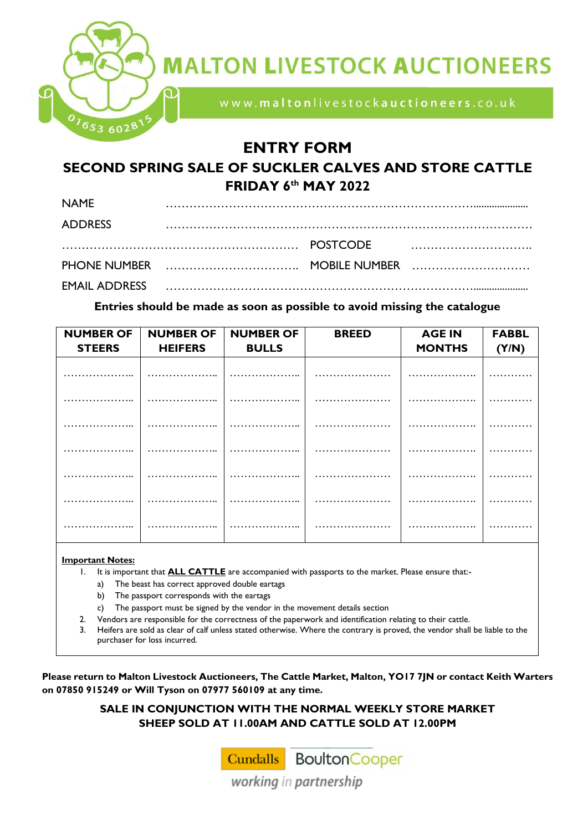

# **MALTON LIVESTOCK AUCTIONEERS**

www.maltonlivestockauctioneers.co.uk

## **ENTRY FORM**

### **SECOND SPRING SALE OF SUCKLER CALVES AND STORE CATTLE FRIDAY 6 th MAY 2022**

| <b>NAME</b>    |                                                                                                                 |  |
|----------------|-----------------------------------------------------------------------------------------------------------------|--|
| <b>ADDRESS</b> |                                                                                                                 |  |
|                |                                                                                                                 |  |
|                |                                                                                                                 |  |
|                | EMAIL ADDRESS And All and All and All and All and All ADDRESS And All and All and All and All and All and All a |  |

#### **Entries should be made as soon as possible to avoid missing the catalogue**

| <b>NUMBER OF</b> | <b>NUMBER OF</b> | <b>NUMBER OF</b>     | <b>BREED</b> | <b>AGE IN</b> | <b>FABBL</b> |
|------------------|------------------|----------------------|--------------|---------------|--------------|
| <b>STEERS</b>    | <b>HEIFERS</b>   | <b>BULLS</b>         |              | <b>MONTHS</b> | (Y/N)        |
|                  |                  |                      |              |               |              |
|                  |                  |                      |              |               |              |
|                  |                  |                      |              |               |              |
|                  |                  |                      |              |               |              |
|                  |                  |                      | .            |               |              |
|                  |                  |                      |              |               |              |
| .                | .                | .<br>$\cdot$ $\cdot$ |              | .             |              |
|                  |                  |                      |              |               |              |
|                  |                  |                      |              |               |              |

#### **Important Notes:**

- 1. It is important that **ALL CATTLE** are accompanied with passports to the market. Please ensure that:
	- a) The beast has correct approved double eartags
	- b) The passport corresponds with the eartags
	- c) The passport must be signed by the vendor in the movement details section
- 2. Vendors are responsible for the correctness of the paperwork and identification relating to their cattle.
- 3. Heifers are sold as clear of calf unless stated otherwise. Where the contrary is proved, the vendor shall be liable to the purchaser for loss incurred.

**Please return to Malton Livestock Auctioneers, The Cattle Market, Malton, YO17 7JN or contact Keith Warters on 07850 915249 or Will Tyson on 07977 560109 at any time.** 

> **SALE IN CONJUNCTION WITH THE NORMAL WEEKLY STORE MARKET SHEEP SOLD AT 11.00AM AND CATTLE SOLD AT 12.00PM**

> > **Cundalls** Boulton Cooper

working in partnership